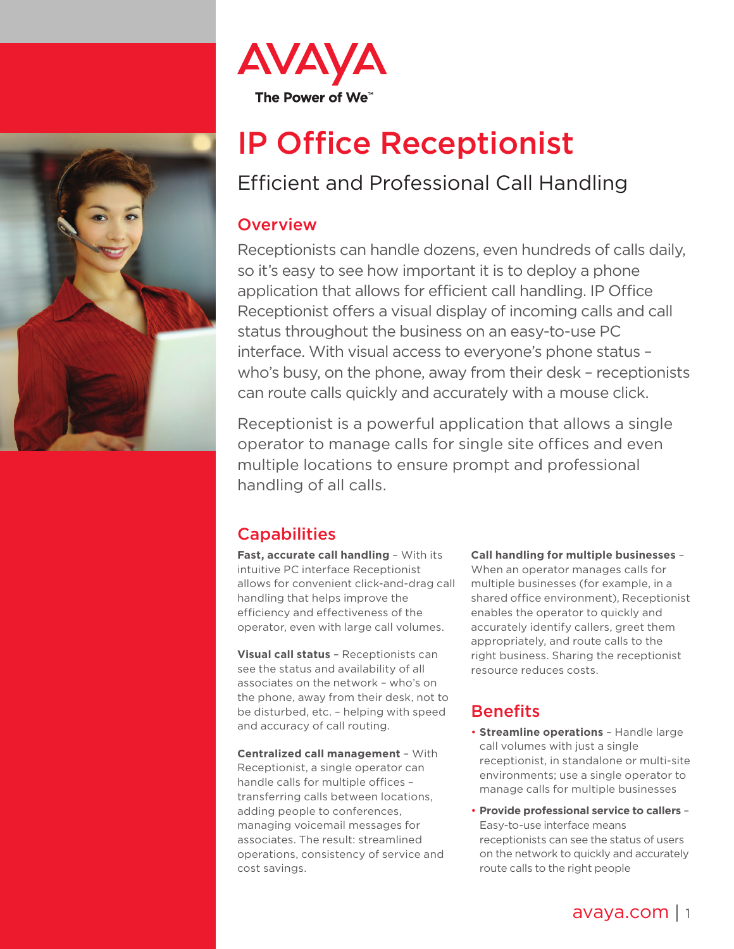



# IP Office Receptionist

## Efficient and Professional Call Handling

#### **Overview**

Receptionists can handle dozens, even hundreds of calls daily, so it's easy to see how important it is to deploy a phone application that allows for efficient call handling. IP Office Receptionist offers a visual display of incoming calls and call status throughout the business on an easy-to-use PC interface. With visual access to everyone's phone status – who's busy, on the phone, away from their desk – receptionists can route calls quickly and accurately with a mouse click.

Receptionist is a powerful application that allows a single operator to manage calls for single site offices and even multiple locations to ensure prompt and professional handling of all calls.

## **Capabilities**

**Fast, accurate call handling** – With its intuitive PC interface Receptionist allows for convenient click-and-drag call handling that helps improve the efficiency and effectiveness of the operator, even with large call volumes.

**Visual call status** – Receptionists can see the status and availability of all associates on the network – who's on the phone, away from their desk, not to be disturbed, etc. – helping with speed and accuracy of call routing.

**Centralized call management** – With Receptionist, a single operator can handle calls for multiple offices – transferring calls between locations, adding people to conferences, managing voicemail messages for associates. The result: streamlined operations, consistency of service and cost savings.

**Call handling for multiple businesses** – When an operator manages calls for multiple businesses (for example, in a shared office environment), Receptionist enables the operator to quickly and accurately identify callers, greet them appropriately, and route calls to the right business. Sharing the receptionist resource reduces costs.

### **Benefits**

- **Streamline operations** Handle large call volumes with just a single receptionist, in standalone or multi-site environments; use a single operator to manage calls for multiple businesses
- **Provide professional service to callers** Easy-to-use interface means receptionists can see the status of users on the network to quickly and accurately route calls to the right people